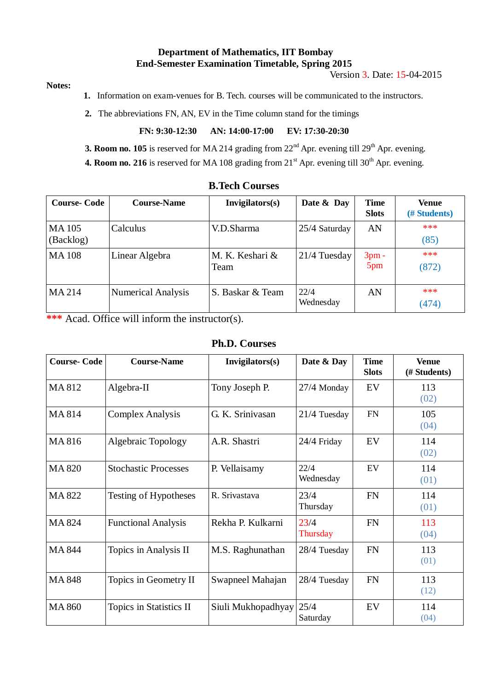### **Department of Mathematics, IIT Bombay End-Semester Examination Timetable, Spring 2015**

Version 3. Date: 15-04-2015

#### **Notes:**

**1.** Information on exam-venues for B. Tech. courses will be communicated to the instructors.

 **2.** The abbreviations FN, AN, EV in the Time column stand for the timings

**FN: 9:30-12:30 AN: 14:00-17:00 EV: 17:30-20:30**

**3. Room no. 105** is reserved for MA 214 grading from  $22<sup>nd</sup>$  Apr. evening till  $29<sup>th</sup>$  Apr. evening.

**4. Room no. 216** is reserved for MA 108 grading from  $21<sup>st</sup>$  Apr. evening till 30<sup>th</sup> Apr. evening.

| <b>Course-Code</b>        | <b>Course-Name</b>        | Invigilators(s)         | Date & Day        | <b>Time</b><br><b>Slots</b> | Venue<br>(# Students) |
|---------------------------|---------------------------|-------------------------|-------------------|-----------------------------|-----------------------|
| <b>MA105</b><br>(Backlog) | Calculus                  | V.D.Sharma              | 25/4 Saturday     | AN                          | ***<br>(85)           |
| <b>MA108</b>              | Linear Algebra            | M. K. Keshari &<br>Team | 21/4 Tuesday      | $3pm -$<br>5pm              | ***<br>(872)          |
| MA 214                    | <b>Numerical Analysis</b> | S. Baskar & Team        | 22/4<br>Wednesday | AN                          | ***<br>(474)          |

## **B.Tech Courses**

**\*\*\*** Acad. Office will inform the instructor(s).

#### **Ph.D. Courses**

| <b>Course-Code</b> | <b>Course-Name</b>          | Invigilators(s)    | Date & Day                | <b>Time</b><br><b>Slots</b> | <b>Venue</b><br>(# Students) |
|--------------------|-----------------------------|--------------------|---------------------------|-----------------------------|------------------------------|
| MA812              | Algebra-II                  | Tony Joseph P.     | EV<br>$27/4$ Monday       |                             | 113<br>(02)                  |
| MA814              | <b>Complex Analysis</b>     | G. K. Srinivasan   | <b>FN</b><br>21/4 Tuesday |                             | 105<br>(04)                  |
| MA816              | <b>Algebraic Topology</b>   | A.R. Shastri       | 24/4 Friday               | EV                          | 114<br>(02)                  |
| <b>MA 820</b>      | <b>Stochastic Processes</b> | P. Vellaisamy      | 22/4<br>EV<br>Wednesday   |                             | 114<br>(01)                  |
| MA 822             | Testing of Hypotheses       | R. Srivastava      | 23/4<br>Thursday          | <b>FN</b>                   | 114<br>(01)                  |
| MA 824             | <b>Functional Analysis</b>  | Rekha P. Kulkarni  | 23/4<br>Thursday          | <b>FN</b>                   | 113<br>(04)                  |
| <b>MA 844</b>      | Topics in Analysis II       | M.S. Raghunathan   | <b>FN</b><br>28/4 Tuesday |                             | 113<br>(01)                  |
| <b>MA 848</b>      | Topics in Geometry II       | Swapneel Mahajan   | <b>FN</b><br>28/4 Tuesday |                             | 113<br>(12)                  |
| <b>MA 860</b>      | Topics in Statistics II     | Siuli Mukhopadhyay | 25/4<br>Saturday          | EV                          | 114<br>(04)                  |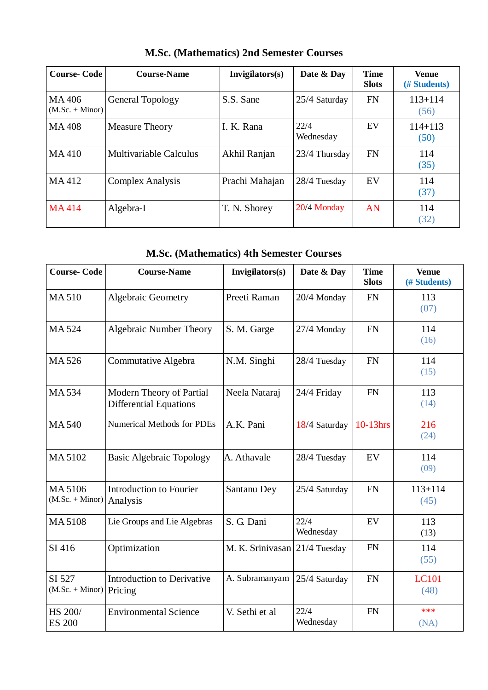| <b>Course-Code</b>         | <b>Course-Name</b>      | Invigilators(s) | Date & Day        | <b>Time</b><br><b>Slots</b> | <b>Venue</b><br>(# Students) |
|----------------------------|-------------------------|-----------------|-------------------|-----------------------------|------------------------------|
| MA406<br>$(M.Sc. + Minor)$ | <b>General Topology</b> | S.S. Sane       | 25/4 Saturday     | <b>FN</b>                   | $113 + 114$<br>(56)          |
| <b>MA408</b>               | <b>Measure Theory</b>   | I. K. Rana      | 22/4<br>Wednesday | EV                          | $114 + 113$<br>(50)          |
| MA410                      | Multivariable Calculus  | Akhil Ranjan    | 23/4 Thursday     | <b>FN</b>                   | 114<br>(35)                  |
| MA412                      | <b>Complex Analysis</b> | Prachi Mahajan  | 28/4 Tuesday      | EV                          | 114<br>(37)                  |
| <b>MA414</b>               | Algebra-I               | T. N. Shorey    | $20/4$ Monday     | AN                          | 114<br>(32)                  |

**M.Sc. (Mathematics) 2nd Semester Courses**

# **M.Sc. (Mathematics) 4th Semester Courses**

| <b>Course-Code</b>           | <b>Course-Name</b>                                        | Invigilators(s)  | Date & Day        | <b>Time</b><br><b>Slots</b> | <b>Venue</b><br>(# Students) |
|------------------------------|-----------------------------------------------------------|------------------|-------------------|-----------------------------|------------------------------|
| <b>MA510</b>                 | <b>Algebraic Geometry</b>                                 | Preeti Raman     | 20/4 Monday       | <b>FN</b>                   | 113<br>(07)                  |
| MA 524                       | Algebraic Number Theory                                   | S. M. Garge      | 27/4 Monday       | <b>FN</b>                   | 114<br>(16)                  |
| MA 526                       | Commutative Algebra                                       | N.M. Singhi      | 28/4 Tuesday      | <b>FN</b>                   | 114<br>(15)                  |
| MA 534                       | Modern Theory of Partial<br><b>Differential Equations</b> | Neela Nataraj    | 24/4 Friday       | FN                          | 113<br>(14)                  |
| <b>MA540</b>                 | <b>Numerical Methods for PDEs</b>                         | A.K. Pani        | 18/4 Saturday     | 10-13hrs                    | 216<br>(24)                  |
| MA 5102                      | <b>Basic Algebraic Topology</b>                           | A. Athavale      | 28/4 Tuesday      | EV                          | 114<br>(09)                  |
| MA 5106<br>$(M.Sc. + Minor)$ | <b>Introduction to Fourier</b><br>Analysis                | Santanu Dey      | 25/4 Saturday     | <b>FN</b>                   | $113 + 114$<br>(45)          |
| <b>MA5108</b>                | Lie Groups and Lie Algebras                               | S. G. Dani       | 22/4<br>Wednesday | EV                          | 113<br>(13)                  |
| SI 416                       | Optimization                                              | M. K. Srinivasan | 21/4 Tuesday      | <b>FN</b>                   | 114<br>(55)                  |
| SI 527<br>$(M.Sc. + Minor)$  | <b>Introduction to Derivative</b><br>Pricing              | A. Subramanyam   | 25/4 Saturday     | FN                          | <b>LC101</b><br>(48)         |
| HS 200/<br><b>ES 200</b>     | <b>Environmental Science</b>                              | V. Sethi et al   | 22/4<br>Wednesday | <b>FN</b>                   | ***<br>(NA)                  |